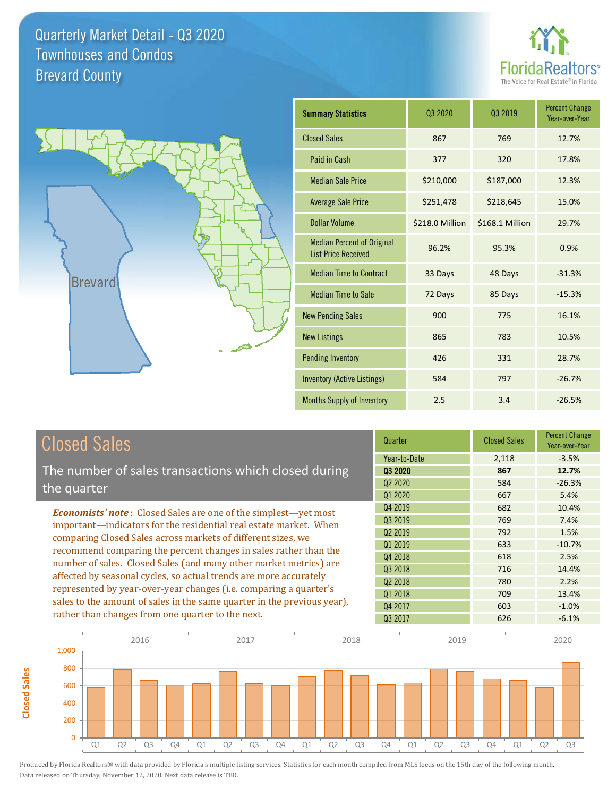



**Closed Sales**

**Closed Sales** 

| <b>Summary Statistics</b>                                       | 03 2020         | 03 2019         | <b>Percent Change</b><br>Year-over-Year |
|-----------------------------------------------------------------|-----------------|-----------------|-----------------------------------------|
| <b>Closed Sales</b>                                             | 867             | 769             | 12.7%                                   |
| Paid in Cash                                                    | 377             | 320             | 17.8%                                   |
| <b>Median Sale Price</b>                                        | \$210,000       | \$187,000       | 12.3%                                   |
| <b>Average Sale Price</b>                                       | \$251,478       | \$218,645       | 15.0%                                   |
| <b>Dollar Volume</b>                                            | \$218.0 Million | \$168.1 Million | 29.7%                                   |
| <b>Median Percent of Original</b><br><b>List Price Received</b> | 96.2%           | 95.3%           | 0.9%                                    |
| <b>Median Time to Contract</b>                                  | 33 Days         | 48 Days         | $-31.3%$                                |
| <b>Median Time to Sale</b>                                      | 72 Days         | 85 Days         | $-15.3%$                                |
| <b>New Pending Sales</b>                                        | 900             | 775             | 16.1%                                   |
| <b>New Listings</b>                                             | 865             | 783             | 10.5%                                   |
| <b>Pending Inventory</b>                                        | 426             | 331             | 28.7%                                   |
| <b>Inventory (Active Listings)</b>                              | 584             | 797             | $-26.7%$                                |
| Months Supply of Inventory                                      | 2.5             | 3.4             | $-26.5%$                                |

| <b>Closed Sales</b>                                                                                                                    | Quarter                         | <b>Closed Sales</b> | <b>Percent Change</b><br>Year-over-Year |
|----------------------------------------------------------------------------------------------------------------------------------------|---------------------------------|---------------------|-----------------------------------------|
|                                                                                                                                        | Year-to-Date                    | 2,118               | $-3.5%$                                 |
| The number of sales transactions which closed during                                                                                   | Q3 2020                         | 867                 | 12.7%                                   |
| the quarter                                                                                                                            | Q <sub>2</sub> 20 <sub>20</sub> | 584                 | $-26.3%$                                |
|                                                                                                                                        | Q1 2020                         | 667                 | 5.4%                                    |
| <b>Economists' note:</b> Closed Sales are one of the simplest—yet most                                                                 | Q4 2019                         | 682                 | 10.4%                                   |
| important-indicators for the residential real estate market. When                                                                      | Q3 2019                         | 769                 | 7.4%                                    |
| comparing Closed Sales across markets of different sizes, we<br>recommend comparing the percent changes in sales rather than the       | 02 2019                         | 792                 | 1.5%                                    |
|                                                                                                                                        | Q1 2019                         | 633                 | $-10.7%$                                |
|                                                                                                                                        | Q4 2018                         | 618                 | 2.5%                                    |
| number of sales. Closed Sales (and many other market metrics) are<br>affected by seasonal cycles, so actual trends are more accurately | 03 2018                         | 716                 | 14.4%                                   |
|                                                                                                                                        | 02 2018                         | 780                 | 2.2%                                    |
| represented by year-over-year changes (i.e. comparing a quarter's                                                                      | Q1 2018                         | 709                 | 13.4%                                   |
| sales to the amount of sales in the same quarter in the previous year),                                                                | Q4 2017                         | 603                 | $-1.0%$                                 |
| rather than changes from one quarter to the next.                                                                                      | Q3 2017                         | 626                 | $-6.1%$                                 |

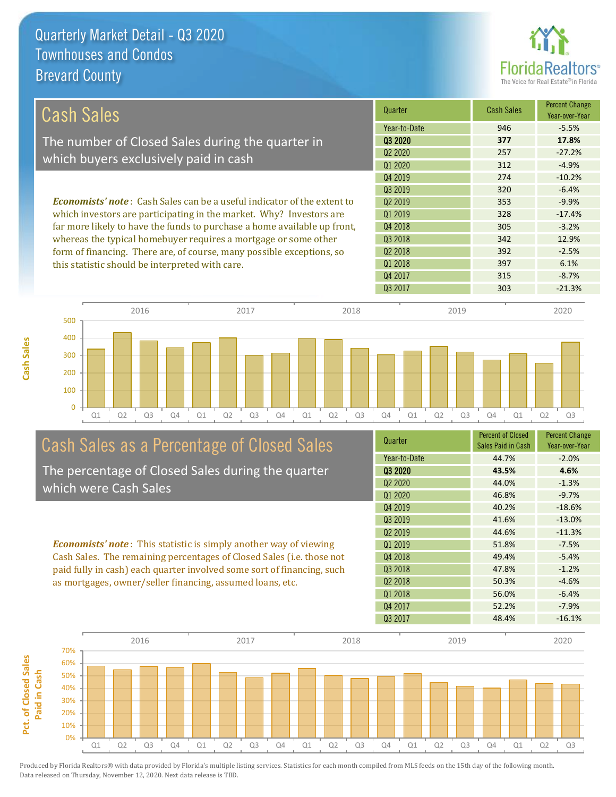**Cash Sales**



| Cash Sales                                                                     | Quarter             | <b>Cash Sales</b> | <b>Percent Change</b><br>Year-over-Year |
|--------------------------------------------------------------------------------|---------------------|-------------------|-----------------------------------------|
|                                                                                | Year-to-Date        | 946               | $-5.5%$                                 |
| The number of Closed Sales during the quarter in                               | 03 2020             | 377               | 17.8%                                   |
| which buyers exclusively paid in cash                                          | 02 2020             | 257               | $-27.2%$                                |
|                                                                                | Q1 2020             | 312               | $-4.9%$                                 |
|                                                                                | Q4 2019             | 274               | $-10.2%$                                |
|                                                                                | 03 2019             | 320               | $-6.4%$                                 |
| <b>Economists' note:</b> Cash Sales can be a useful indicator of the extent to | Q <sub>2</sub> 2019 | 353               | $-9.9%$                                 |
| which investors are participating in the market. Why? Investors are            | Q1 2019             | 328               | $-17.4%$                                |
| far more likely to have the funds to purchase a home available up front,       | Q4 2018             | 305               | $-3.2%$                                 |
| whereas the typical homebuyer requires a mortgage or some other                | Q3 2018             | 342               | 12.9%                                   |
| form of financing. There are, of course, many possible exceptions, so          | Q <sub>2</sub> 2018 | 392               | $-2.5%$                                 |
| this statistic should be interpreted with care.                                | Q1 2018             | 397               | 6.1%                                    |
|                                                                                | Q4 2017             | 315               | $-8.7%$                                 |



# Cash Sales as a Percentage of Closed Sales

The percentage of Closed Sales during the quarter which were Cash Sales

*Economists' note* : This statistic is simply another way of viewing Cash Sales. The remaining percentages of Closed Sales (i.e. those not paid fully in cash) each quarter involved some sort of financing, such as mortgages, owner/seller financing, assumed loans, etc.

| Quarter                         | <b>Percent of Closed</b><br>Sales Paid in Cash | <b>Percent Change</b><br>Year-over-Year |
|---------------------------------|------------------------------------------------|-----------------------------------------|
| Year-to-Date                    | 44.7%                                          | $-2.0%$                                 |
| Q3 2020                         | 43.5%                                          | 4.6%                                    |
| Q <sub>2</sub> 20 <sub>20</sub> | 44.0%                                          | $-1.3%$                                 |
| Q1 2020                         | 46.8%                                          | $-9.7%$                                 |
| Q4 2019                         | 40.2%                                          | $-18.6%$                                |
| Q3 2019                         | 41.6%                                          | $-13.0%$                                |
| Q <sub>2</sub> 2019             | 44.6%                                          | $-11.3%$                                |
| 01 2019                         | 51.8%                                          | $-7.5%$                                 |
| Q4 2018                         | 49.4%                                          | $-5.4%$                                 |
| Q3 2018                         | 47.8%                                          | $-1.2%$                                 |
| Q <sub>2</sub> 2018             | 50.3%                                          | $-4.6%$                                 |
| Q1 2018                         | 56.0%                                          | $-6.4%$                                 |
| Q4 2017                         | 52.2%                                          | $-7.9%$                                 |
| Q3 2017                         | 48.4%                                          | $-16.1%$                                |

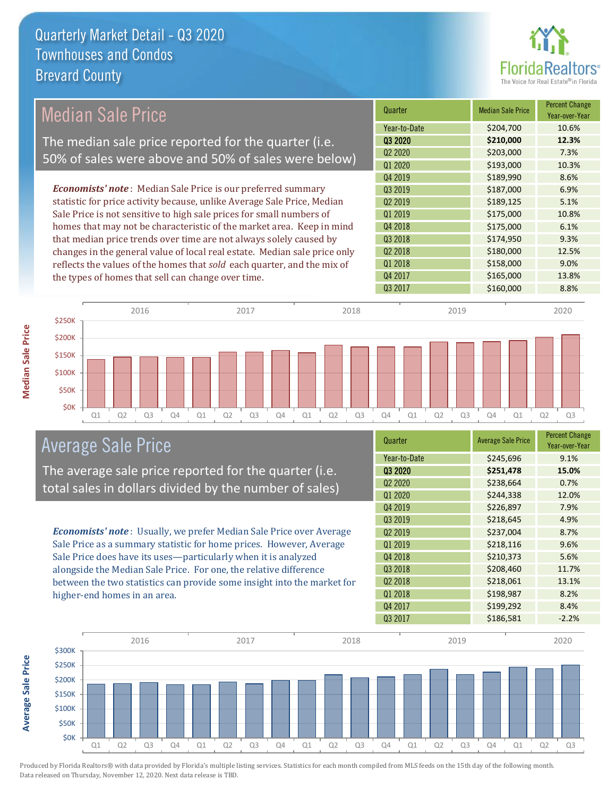

## Median Sale Price

The median sale price reported for the quarter (i.e. 50% of sales were above and 50% of sales were below)

*Economists' note* : Median Sale Price is our preferred summary statistic for price activity because, unlike Average Sale Price, Median Sale Price is not sensitive to high sale prices for small numbers of homes that may not be characteristic of the market area. Keep in mind that median price trends over time are not always solely caused by changes in the general value of local real estate. Median sale price only reflects the values of the homes that *sold* each quarter, and the mix of the types of homes that sell can change over time.

| Quarter             | <b>Median Sale Price</b> | <b>Percent Change</b><br>Year-over-Year |
|---------------------|--------------------------|-----------------------------------------|
| Year-to-Date        | \$204,700                | 10.6%                                   |
| Q3 2020             | \$210,000                | 12.3%                                   |
| Q2 2020             | \$203,000                | 7.3%                                    |
| Q1 2020             | \$193,000                | 10.3%                                   |
| Q4 2019             | \$189,990                | 8.6%                                    |
| Q3 2019             | \$187,000                | 6.9%                                    |
| Q <sub>2</sub> 2019 | \$189,125                | 5.1%                                    |
| Q1 2019             | \$175,000                | 10.8%                                   |
| Q4 2018             | \$175,000                | 6.1%                                    |
| Q3 2018             | \$174,950                | 9.3%                                    |
| Q <sub>2</sub> 2018 | \$180,000                | 12.5%                                   |
| Q1 2018             | \$158,000                | 9.0%                                    |
| Q4 2017             | \$165,000                | 13.8%                                   |
| Q3 2017             | \$160,000                | 8.8%                                    |



#### Average Sale Price

The average sale price reported for the quarter (i.e. total sales in dollars divided by the number of sales)

*Economists' note* : Usually, we prefer Median Sale Price over Average Sale Price as a summary statistic for home prices. However, Average Sale Price does have its uses—particularly when it is analyzed alongside the Median Sale Price. For one, the relative difference between the two statistics can provide some insight into the market for higher-end homes in an area.

| Quarter                         | <b>Average Sale Price</b> | <b>Percent Change</b><br>Year-over-Year |
|---------------------------------|---------------------------|-----------------------------------------|
| Year-to-Date                    | \$245,696                 | 9.1%                                    |
| Q3 2020                         | \$251,478                 | 15.0%                                   |
| Q <sub>2</sub> 20 <sub>20</sub> | \$238,664                 | 0.7%                                    |
| Q1 2020                         | \$244,338                 | 12.0%                                   |
| Q4 2019                         | \$226,897                 | 7.9%                                    |
| Q3 2019                         | \$218,645                 | 4.9%                                    |
| Q <sub>2</sub> 2019             | \$237,004                 | 8.7%                                    |
| Q1 2019                         | \$218,116                 | 9.6%                                    |
| Q4 2018                         | \$210,373                 | 5.6%                                    |
| Q3 2018                         | \$208,460                 | 11.7%                                   |
| Q <sub>2</sub> 2018             | \$218,061                 | 13.1%                                   |
| Q1 2018                         | \$198,987                 | 8.2%                                    |
| Q4 2017                         | \$199,292                 | 8.4%                                    |
| Q3 2017                         | \$186,581                 | $-2.2%$                                 |



**Average Sale Price**

**Average Sale Price**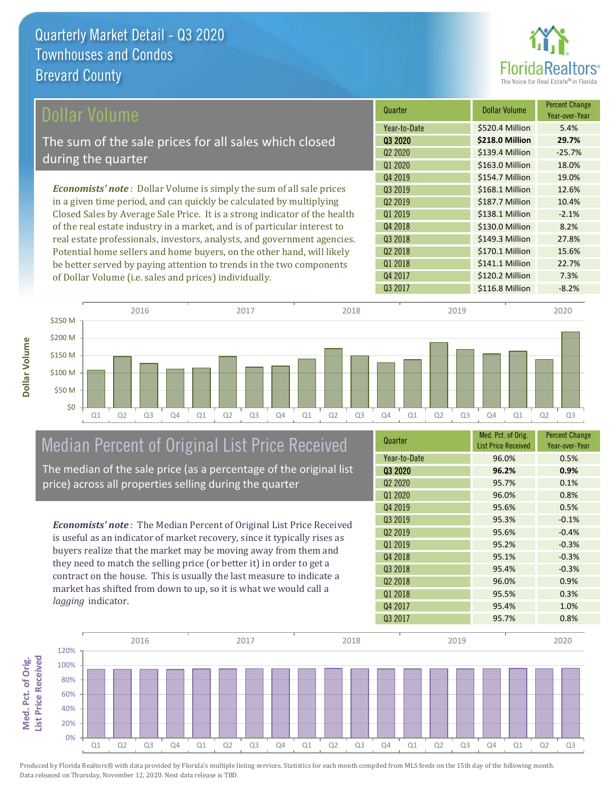

| Dollar Volume                                                                | Quarter             | Dollar Volume   | <b>Percent Change</b><br>Year-over-Year |
|------------------------------------------------------------------------------|---------------------|-----------------|-----------------------------------------|
|                                                                              | Year-to-Date        | \$520.4 Million | 5.4%                                    |
| The sum of the sale prices for all sales which closed                        | 03 2020             | \$218.0 Million | 29.7%                                   |
|                                                                              | Q <sub>2</sub> 2020 | \$139.4 Million | $-25.7%$                                |
| during the quarter                                                           | Q1 2020             | \$163.0 Million | 18.0%                                   |
|                                                                              | Q4 2019             | \$154.7 Million | 19.0%                                   |
| <b>Economists' note</b> : Dollar Volume is simply the sum of all sale prices | 03 2019             | \$168.1 Million | 12.6%                                   |
| in a given time period, and can quickly be calculated by multiplying         | 02 2019             | \$187.7 Million | 10.4%                                   |
| Closed Sales by Average Sale Price. It is a strong indicator of the health   | Q1 2019             | \$138.1 Million | $-2.1%$                                 |
| of the real estate industry in a market, and is of particular interest to    | Q4 2018             | \$130.0 Million | 8.2%                                    |
| real estate professionals, investors, analysts, and government agencies.     | Q3 2018             | \$149.3 Million | 27.8%                                   |
| Potential home sellers and home buyers, on the other hand, will likely       | Q <sub>2</sub> 2018 | \$170.1 Million | 15.6%                                   |
| be better served by paying attention to trends in the two components         | Q1 2018             | \$141.1 Million | 22.7%                                   |
| of Dollar Volume ( <i>i.e.</i> sales and prices) individually.               | Q4 2017             | \$120.2 Million | 7.3%                                    |



## Median Percent of Original List Price Received

The median of the sale price (as a percentage of the original list price) across all properties selling during the quarter

*Economists' note* : The Median Percent of Original List Price Received is useful as an indicator of market recovery, since it typically rises as buyers realize that the market may be moving away from them and they need to match the selling price (or better it) in order to get a contract on the house. This is usually the last measure to indicate a market has shifted from down to up, so it is what we would call a *lagging* indicator.

| Quarter                         | Med. Pct. of Orig.<br><b>List Price Received</b> | <b>Percent Change</b><br>Year-over-Year |
|---------------------------------|--------------------------------------------------|-----------------------------------------|
| Year-to-Date                    | 96.0%                                            | 0.5%                                    |
| Q3 2020                         | 96.2%                                            | 0.9%                                    |
| Q <sub>2</sub> 20 <sub>20</sub> | 95.7%                                            | 0.1%                                    |
| Q1 2020                         | 96.0%                                            | 0.8%                                    |
| Q4 2019                         | 95.6%                                            | 0.5%                                    |
| Q3 2019                         | 95.3%                                            | $-0.1%$                                 |
| Q <sub>2</sub> 2019             | 95.6%                                            | $-0.4%$                                 |
| Q1 2019                         | 95.2%                                            | $-0.3%$                                 |
| Q4 2018                         | 95.1%                                            | $-0.3%$                                 |
| Q3 2018                         | 95.4%                                            | $-0.3%$                                 |
| Q <sub>2</sub> 2018             | 96.0%                                            | 0.9%                                    |
| Q1 2018                         | 95.5%                                            | 0.3%                                    |
| Q4 2017                         | 95.4%                                            | 1.0%                                    |
| Q3 2017                         | 95.7%                                            | 0.8%                                    |

Q3 2017 \$116.8 Million -8.2%

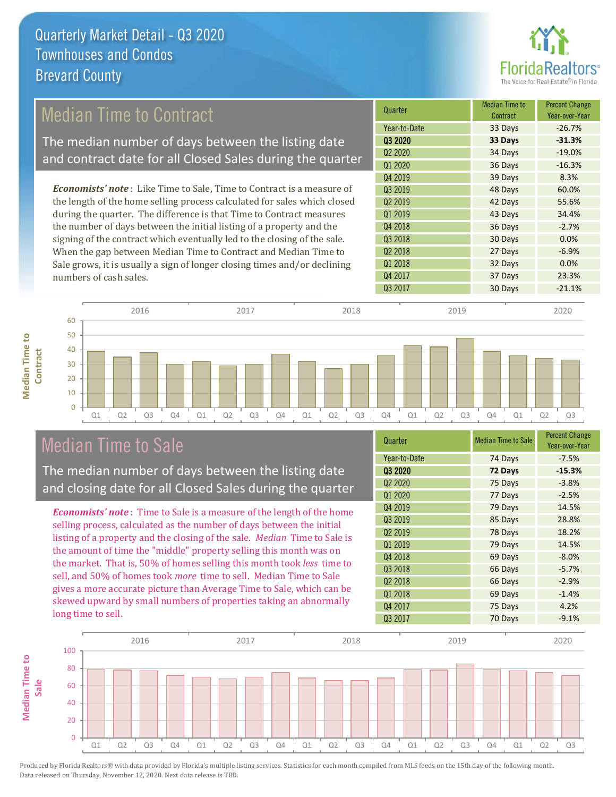

## Median Time to Contract

The median number of days between the listing date and contract date for all Closed Sales during the quarter

*Economists' note* : Like Time to Sale, Time to Contract is a measure of the length of the home selling process calculated for sales which closed during the quarter. The difference is that Time to Contract measures the number of days between the initial listing of a property and the signing of the contract which eventually led to the closing of the sale. When the gap between Median Time to Contract and Median Time to Sale grows, it is usually a sign of longer closing times and/or declining numbers of cash sales.

| Quarter                         | <b>Median Time to</b><br>Contract | <b>Percent Change</b><br>Year-over-Year |
|---------------------------------|-----------------------------------|-----------------------------------------|
| Year-to-Date                    | 33 Days                           | $-26.7%$                                |
| Q3 2020                         | 33 Days                           | $-31.3%$                                |
| Q <sub>2</sub> 20 <sub>20</sub> | 34 Days                           | $-19.0%$                                |
| Q1 2020                         | 36 Days                           | $-16.3%$                                |
| Q4 2019                         | 39 Days                           | 8.3%                                    |
| 03 2019                         | 48 Days                           | 60.0%                                   |
| Q <sub>2</sub> 2019             | 42 Days                           | 55.6%                                   |
| Q1 2019                         | 43 Days                           | 34.4%                                   |
| Q4 2018                         | 36 Days                           | $-2.7%$                                 |
| Q3 2018                         | 30 Days                           | 0.0%                                    |
| Q <sub>2</sub> 2018             | 27 Days                           | $-6.9%$                                 |
| Q1 2018                         | 32 Days                           | 0.0%                                    |
| Q4 2017                         | 37 Days                           | 23.3%                                   |
| Q3 2017                         | 30 Days                           | $-21.1%$                                |



### Median Time to Sale

**Median Time to** 

**Median Time to** 

The median number of days between the listing date and closing date for all Closed Sales during the quarter

*Economists' note* : Time to Sale is a measure of the length of the home selling process, calculated as the number of days between the initial listing of a property and the closing of the sale. *Median* Time to Sale is the amount of time the "middle" property selling this month was on the market. That is, 50% of homes selling this month took *less* time to sell, and 50% of homes took *more* time to sell. Median Time to Sale gives a more accurate picture than Average Time to Sale, which can be skewed upward by small numbers of properties taking an abnormally long time to sell.

| Quarter                         | <b>Median Time to Sale</b> | <b>Percent Change</b><br>Year-over-Year |
|---------------------------------|----------------------------|-----------------------------------------|
| Year-to-Date                    | 74 Days                    | $-7.5%$                                 |
| 03 2020                         | 72 Days                    | $-15.3%$                                |
| Q <sub>2</sub> 20 <sub>20</sub> | 75 Days                    | $-3.8%$                                 |
| Q1 2020                         | 77 Days                    | $-2.5%$                                 |
| Q4 2019                         | 79 Days                    | 14.5%                                   |
| Q3 2019                         | 85 Days                    | 28.8%                                   |
| Q <sub>2</sub> 2019             | 78 Days                    | 18.2%                                   |
| Q1 2019                         | 79 Days                    | 14.5%                                   |
| Q4 2018                         | 69 Days                    | $-8.0%$                                 |
| Q3 2018                         | 66 Days                    | $-5.7%$                                 |
| Q <sub>2</sub> 2018             | 66 Days                    | $-2.9%$                                 |
| Q1 2018                         | 69 Days                    | $-1.4%$                                 |
| Q4 2017                         | 75 Days                    | 4.2%                                    |
| Q3 2017                         | 70 Days                    | $-9.1%$                                 |

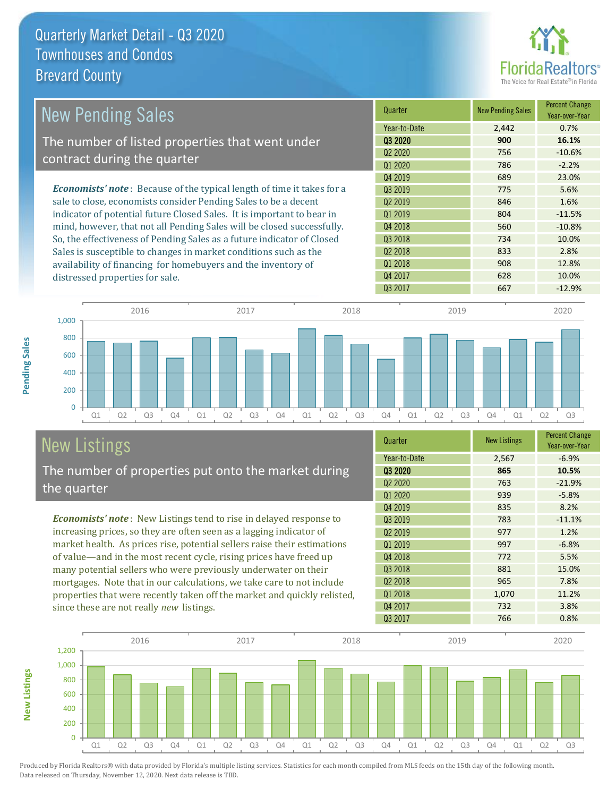distressed properties for sale.



| <b>New Pending Sales</b>                                                       | Quarter             | <b>New Pending Sales</b> | <b>Percent Change</b><br>Year-over-Year |
|--------------------------------------------------------------------------------|---------------------|--------------------------|-----------------------------------------|
|                                                                                | Year-to-Date        | 2,442                    | 0.7%                                    |
| The number of listed properties that went under                                | 03 20 20            | 900                      | 16.1%                                   |
| contract during the quarter                                                    | Q <sub>2</sub> 2020 | 756                      | $-10.6%$                                |
|                                                                                | Q1 2020             | 786                      | $-2.2%$                                 |
|                                                                                | Q4 2019             | 689                      | 23.0%                                   |
| <b>Economists' note</b> : Because of the typical length of time it takes for a | 03 2019             | 775                      | 5.6%                                    |
| sale to close, economists consider Pending Sales to be a decent                | 02 2019             | 846                      | 1.6%                                    |
| indicator of potential future Closed Sales. It is important to bear in         | Q1 2019             | 804                      | $-11.5%$                                |
| mind, however, that not all Pending Sales will be closed successfully.         | Q4 2018             | 560                      | $-10.8%$                                |
| So, the effectiveness of Pending Sales as a future indicator of Closed         | Q3 2018             | 734                      | 10.0%                                   |
| Sales is susceptible to changes in market conditions such as the               | Q <sub>2</sub> 2018 | 833                      | 2.8%                                    |
| availability of financing for homebuyers and the inventory of                  | Q1 2018             | 908                      | 12.8%                                   |



# New Listings

**New Listings**

**Pending Sales**

Pending Sales

The number of properties put onto the market during the quarter

*Economists' note* : New Listings tend to rise in delayed response to increasing prices, so they are often seen as a lagging indicator of market health. As prices rise, potential sellers raise their estimations of value—and in the most recent cycle, rising prices have freed up many potential sellers who were previously underwater on their mortgages. Note that in our calculations, we take care to not include properties that were recently taken off the market and quickly relisted, since these are not really *new* listings.

| Quarter                         | <b>New Listings</b> | <b>Percent Change</b><br>Year-over-Year |
|---------------------------------|---------------------|-----------------------------------------|
| Year-to-Date                    | 2,567               | $-6.9%$                                 |
| Q3 2020                         | 865                 | 10.5%                                   |
| Q <sub>2</sub> 20 <sub>20</sub> | 763                 | $-21.9%$                                |
| Q1 2020                         | 939                 | $-5.8%$                                 |
| Q4 2019                         | 835                 | 8.2%                                    |
| Q3 2019                         | 783                 | $-11.1%$                                |
| Q <sub>2</sub> 2019             | 977                 | 1.2%                                    |
| Q1 2019                         | 997                 | $-6.8%$                                 |
| Q4 2018                         | 772                 | 5.5%                                    |
| Q3 2018                         | 881                 | 15.0%                                   |
| Q <sub>2</sub> 2018             | 965                 | 7.8%                                    |
| Q1 2018                         | 1,070               | 11.2%                                   |
| Q4 2017                         | 732                 | 3.8%                                    |
| Q3 2017                         | 766                 | 0.8%                                    |

Q4 2017 628 10.0% Q3 2017 667 -12.9%

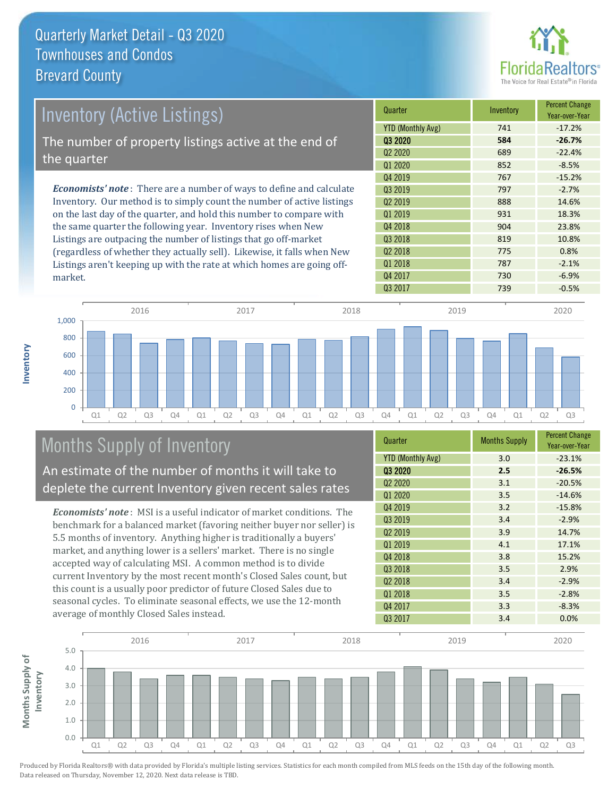

| Inventory (Active Listings)                                                  | Quarter             | Inventory | <b>Percent Change</b><br>Year-over-Year |
|------------------------------------------------------------------------------|---------------------|-----------|-----------------------------------------|
|                                                                              | YTD (Monthly Avg)   | 741       | $-17.2%$                                |
| The number of property listings active at the end of                         | 03 2020             | 584       | $-26.7%$                                |
| the quarter                                                                  | Q <sub>2</sub> 2020 | 689       | $-22.4%$                                |
|                                                                              | Q1 2020             | 852       | $-8.5%$                                 |
|                                                                              | Q4 2019             | 767       | $-15.2%$                                |
| <b>Economists' note</b> : There are a number of ways to define and calculate | 03 2019             | 797       | $-2.7%$                                 |
| Inventory. Our method is to simply count the number of active listings       | 02 2019             | 888       | 14.6%                                   |
| on the last day of the quarter, and hold this number to compare with         | Q1 2019             | 931       | 18.3%                                   |
| the same quarter the following year. Inventory rises when New                | Q4 2018             | 904       | 23.8%                                   |
| Listings are outpacing the number of listings that go off-market             | Q3 2018             | 819       | 10.8%                                   |
| (regardless of whether they actually sell). Likewise, it falls when New      | Q <sub>2</sub> 2018 | 775       | 0.8%                                    |

Q1 Q2 Q3 Q4 Q1 Q2 Q3 Q4 Q1 Q2 Q3 Q4 Q1 Q2 Q3 Q4 Q1 Q2 Q3 0 200 400 600 800 1,000 2016 2017 2018 2019 2020

## Months Supply of Inventory

market.

**Inventory**

An estimate of the number of months it will take to deplete the current Inventory given recent sales rates

Listings aren't keeping up with the rate at which homes are going off-

*Economists' note* : MSI is a useful indicator of market conditions. The benchmark for a balanced market (favoring neither buyer nor seller) is 5.5 months of inventory. Anything higher is traditionally a buyers' market, and anything lower is a sellers' market. There is no single accepted way of calculating MSI. A common method is to divide current Inventory by the most recent month's Closed Sales count, but this count is a usually poor predictor of future Closed Sales due to seasonal cycles. To eliminate seasonal effects, we use the 12-month average of monthly Closed Sales instead.

| Quarter                         | <b>Months Supply</b> | <b>Percent Change</b><br>Year-over-Year |
|---------------------------------|----------------------|-----------------------------------------|
| <b>YTD (Monthly Avg)</b>        | 3.0                  | $-23.1%$                                |
| 03 2020                         | 2.5                  | $-26.5%$                                |
| Q <sub>2</sub> 20 <sub>20</sub> | 3.1                  | $-20.5%$                                |
| Q1 2020                         | 3.5                  | $-14.6%$                                |
| Q4 2019                         | 3.2                  | $-15.8%$                                |
| Q3 2019                         | 3.4                  | $-2.9%$                                 |
| Q <sub>2</sub> 2019             | 3.9                  | 14.7%                                   |
| Q1 2019                         | 4.1                  | 17.1%                                   |
| Q4 2018                         | 3.8                  | 15.2%                                   |
| Q3 2018                         | 3.5                  | 2.9%                                    |
| Q <sub>2</sub> 2018             | 3.4                  | $-2.9%$                                 |
| Q1 2018                         | 3.5                  | $-2.8%$                                 |
| Q4 2017                         | 3.3                  | $-8.3%$                                 |
| Q3 2017                         | 3.4                  | 0.0%                                    |

Q3 2017 **739** -0.5%

Q1 2018 **787** -2.1% Q4 2017 730 730 6.9%

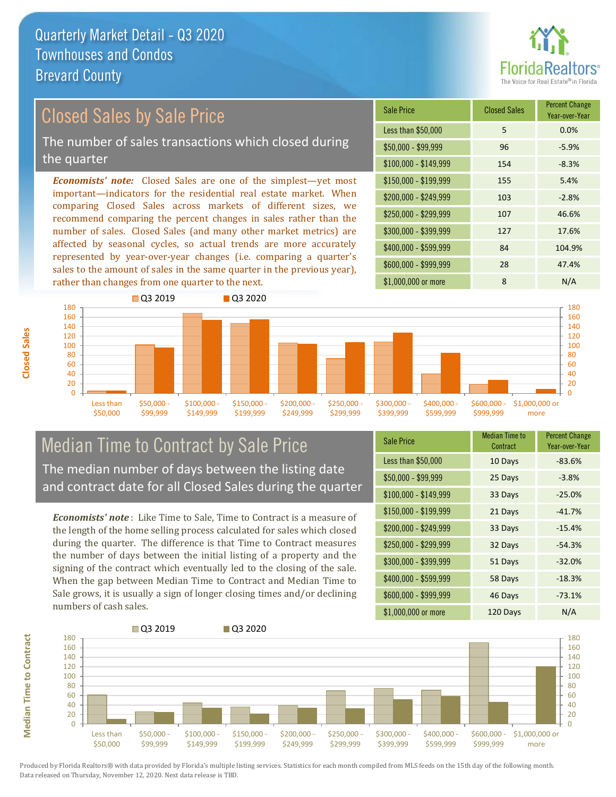

## Closed Sales by Sale Price

The number of sales transactions which closed during the quarter

*Economists' note:* Closed Sales are one of the simplest—yet most important—indicators for the residential real estate market. When comparing Closed Sales across markets of different sizes, we recommend comparing the percent changes in sales rather than the number of sales. Closed Sales (and many other market metrics) are affected by seasonal cycles, so actual trends are more accurately represented by year-over-year changes (i.e. comparing a quarter's sales to the amount of sales in the same quarter in the previous year), rather than changes from one quarter to the next.

| Sale Price            | <b>Closed Sales</b> | <b>Percent Change</b><br>Year-over-Year |
|-----------------------|---------------------|-----------------------------------------|
| Less than \$50,000    | 5                   | 0.0%                                    |
| $$50,000 - $99,999$   | 96                  | $-5.9%$                                 |
| $$100,000 - $149,999$ | 154                 | $-8.3%$                                 |
| $$150,000 - $199,999$ | 155                 | 5.4%                                    |
| \$200,000 - \$249,999 | 103                 | $-2.8%$                                 |
| \$250,000 - \$299,999 | 107                 | 46.6%                                   |
| \$300,000 - \$399,999 | 127                 | 17.6%                                   |
| \$400,000 - \$599,999 | 84                  | 104.9%                                  |
| \$600,000 - \$999,999 | 28                  | 47.4%                                   |
| \$1,000,000 or more   | 8                   | N/A                                     |



#### Median Time to Contract by Sale Price The median number of days between the listing date and contract date for all Closed Sales during the quarter

*Economists' note* : Like Time to Sale, Time to Contract is a measure of the length of the home selling process calculated for sales which closed during the quarter. The difference is that Time to Contract measures the number of days between the initial listing of a property and the signing of the contract which eventually led to the closing of the sale. When the gap between Median Time to Contract and Median Time to Sale grows, it is usually a sign of longer closing times and/or declining numbers of cash sales.

| <b>Sale Price</b>     | <b>Median Time to</b><br>Contract | <b>Percent Change</b><br>Year-over-Year |
|-----------------------|-----------------------------------|-----------------------------------------|
| Less than \$50,000    | 10 Days                           | $-83.6%$                                |
| $$50,000 - $99,999$   | 25 Days                           | $-3.8%$                                 |
| $$100,000 - $149,999$ | 33 Days                           | $-25.0%$                                |
| \$150,000 - \$199,999 | 21 Days                           | $-41.7%$                                |
| \$200,000 - \$249,999 | 33 Days                           | $-15.4%$                                |
| \$250,000 - \$299,999 | 32 Days                           | $-54.3%$                                |
| \$300,000 - \$399,999 | 51 Days                           | $-32.0%$                                |
| \$400,000 - \$599,999 | 58 Days                           | $-18.3%$                                |
| \$600,000 - \$999,999 | 46 Days                           | $-73.1%$                                |
| \$1,000,000 or more   | 120 Days                          | N/A                                     |



**Median Time to Contract**

**Median Time to Contract** 

**Closed Sales**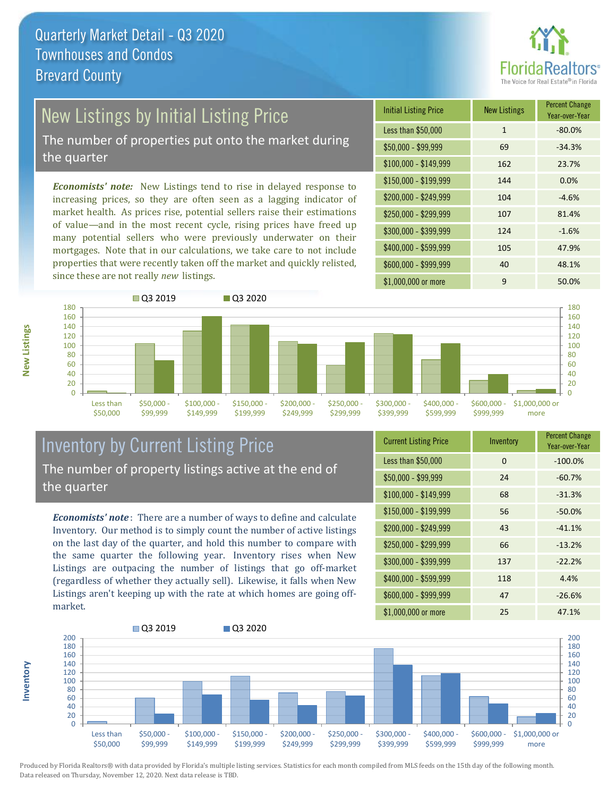

## New Listings by Initial Listing Price

The number of properties put onto the market during the quarter

*Economists' note:* New Listings tend to rise in delayed response to increasing prices, so they are often seen as a lagging indicator of market health. As prices rise, potential sellers raise their estimations of value—and in the most recent cycle, rising prices have freed up many potential sellers who were previously underwater on their mortgages. Note that in our calculations, we take care to not include properties that were recently taken off the market and quickly relisted, since these are not really *new* listings.





#### Inventory by Current Listing Price The number of property listings active at the end of the quarter

*Economists' note* : There are a number of ways to define and calculate Inventory. Our method is to simply count the number of active listings on the last day of the quarter, and hold this number to compare with the same quarter the following year. Inventory rises when New Listings are outpacing the number of listings that go off-market (regardless of whether they actually sell). Likewise, it falls when New Listings aren't keeping up with the rate at which homes are going offmarket.

| <b>Current Listing Price</b> | Inventory | <b>Percent Change</b><br>Year-over-Year |
|------------------------------|-----------|-----------------------------------------|
| Less than \$50,000           | $\Omega$  | $-100.0%$                               |
| $$50,000 - $99,999$          | 24        | $-60.7%$                                |
| $$100,000 - $149,999$        | 68        | $-31.3%$                                |
| $$150,000 - $199,999$        | 56        | $-50.0%$                                |
| \$200,000 - \$249,999        | 43        | $-41.1%$                                |
| \$250,000 - \$299,999        | 66        | $-13.2%$                                |
| \$300,000 - \$399,999        | 137       | $-22.2%$                                |
| \$400,000 - \$599,999        | 118       | 4.4%                                    |
| \$600,000 - \$999,999        | 47        | $-26.6%$                                |
| \$1,000,000 or more          | 25        | 47.1%                                   |



Produced by Florida Realtors® with data provided by Florida's multiple listing services. Statistics for each month compiled from MLS feeds on the 15th day of the following month. Data released on Thursday, November 12, 2020. Next data release is TBD.

**Inventory**